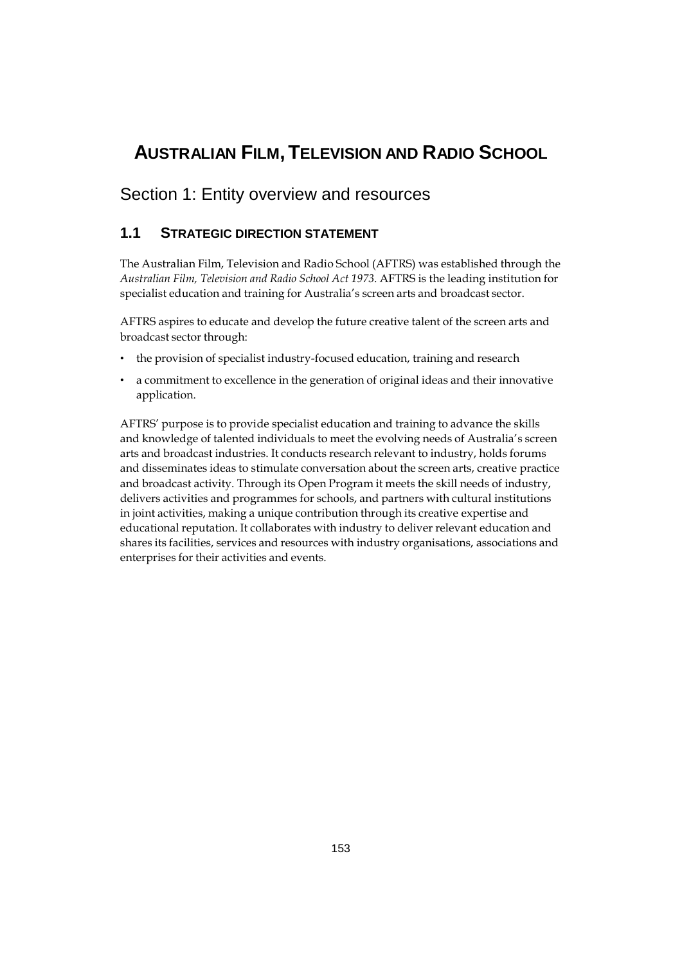# **AUSTRALIAN FILM,TELEVISION AND RADIO SCHOOL**

## Section 1: Entity overview and resources

### **1.1 STRATEGIC DIRECTION STATEMENT**

The Australian Film, Television and Radio School (AFTRS) was established through the *Australian Film, Television and Radio School Act 1973*. AFTRS is the leading institution for specialist education and training for Australia's screen arts and broadcast sector.

AFTRS aspires to educate and develop the future creative talent of the screen arts and broadcast sector through:

- the provision of specialist industry-focused education, training and research
- a commitment to excellence in the generation of original ideas and their innovative application.

AFTRS' purpose is to provide specialist education and training to advance the skills and knowledge of talented individuals to meet the evolving needs of Australia's screen arts and broadcast industries. It conducts research relevant to industry, holds forums and disseminates ideas to stimulate conversation about the screen arts, creative practice and broadcast activity. Through its Open Program it meets the skill needs of industry, delivers activities and programmes for schools, and partners with cultural institutions in joint activities, making a unique contribution through its creative expertise and educational reputation. It collaborates with industry to deliver relevant education and shares its facilities, services and resources with industry organisations, associations and enterprises for their activities and events.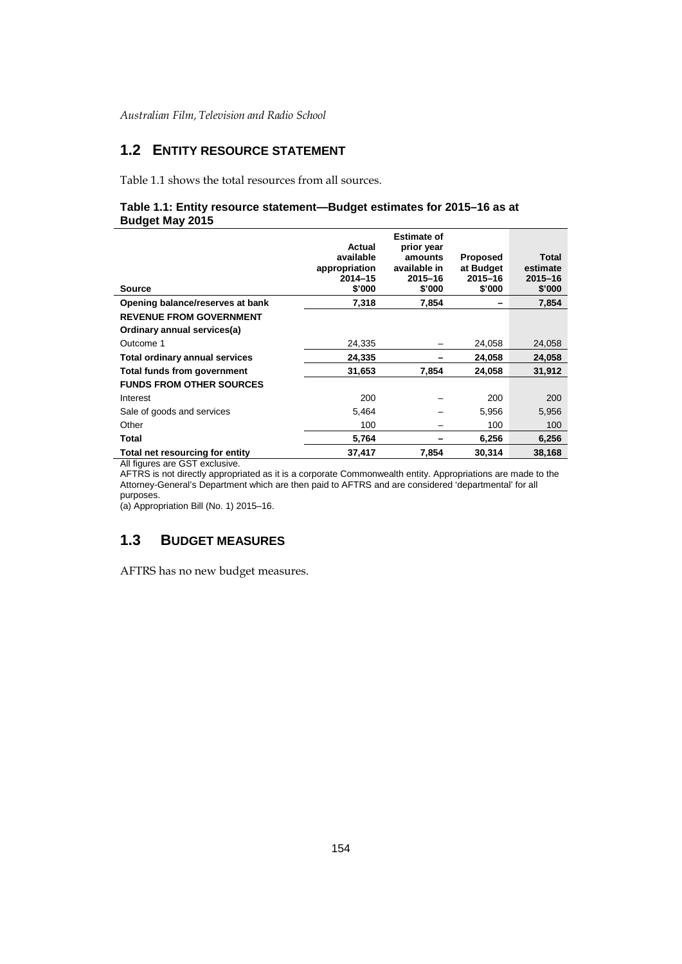### **1.2 ENTITY RESOURCE STATEMENT**

Table 1.1 shows the total resources from all sources.

### **Table 1.1: Entity resource statement—Budget estimates for 2015–16 as at Budget May 2015**

| Source                                | Actual<br>available<br>appropriation<br>$2014 - 15$<br>\$'000 | <b>Estimate of</b><br>prior year<br>amounts<br>available in<br>$2015 - 16$<br>\$'000 | <b>Proposed</b><br>at Budget<br>2015-16<br>\$'000 | Total<br>estimate<br>$2015 - 16$<br>\$'000 |
|---------------------------------------|---------------------------------------------------------------|--------------------------------------------------------------------------------------|---------------------------------------------------|--------------------------------------------|
| Opening balance/reserves at bank      | 7,318                                                         | 7,854                                                                                |                                                   | 7,854                                      |
| <b>REVENUE FROM GOVERNMENT</b>        |                                                               |                                                                                      |                                                   |                                            |
| Ordinary annual services(a)           |                                                               |                                                                                      |                                                   |                                            |
| Outcome 1                             | 24,335                                                        |                                                                                      | 24,058                                            | 24,058                                     |
| <b>Total ordinary annual services</b> | 24,335                                                        |                                                                                      | 24,058                                            | 24,058                                     |
| Total funds from government           | 31,653                                                        | 7,854                                                                                | 24,058                                            | 31,912                                     |
| <b>FUNDS FROM OTHER SOURCES</b>       |                                                               |                                                                                      |                                                   |                                            |
| Interest                              | 200                                                           |                                                                                      | 200                                               | 200                                        |
| Sale of goods and services            | 5,464                                                         |                                                                                      | 5,956                                             | 5,956                                      |
| Other                                 | 100                                                           |                                                                                      | 100                                               | 100                                        |
| Total                                 | 5,764                                                         |                                                                                      | 6,256                                             | 6,256                                      |
| Total net resourcing for entity       | 37,417                                                        | 7,854                                                                                | 30,314                                            | 38,168                                     |

All figures are GST exclusive.

AFTRS is not directly appropriated as it is a corporate Commonwealth entity. Appropriations are made to the Attorney-General's Department which are then paid to AFTRS and are considered 'departmental' for all purposes.

(a) Appropriation Bill (No. 1) 2015–16.

### **1.3 BUDGET MEASURES**

AFTRS has no new budget measures.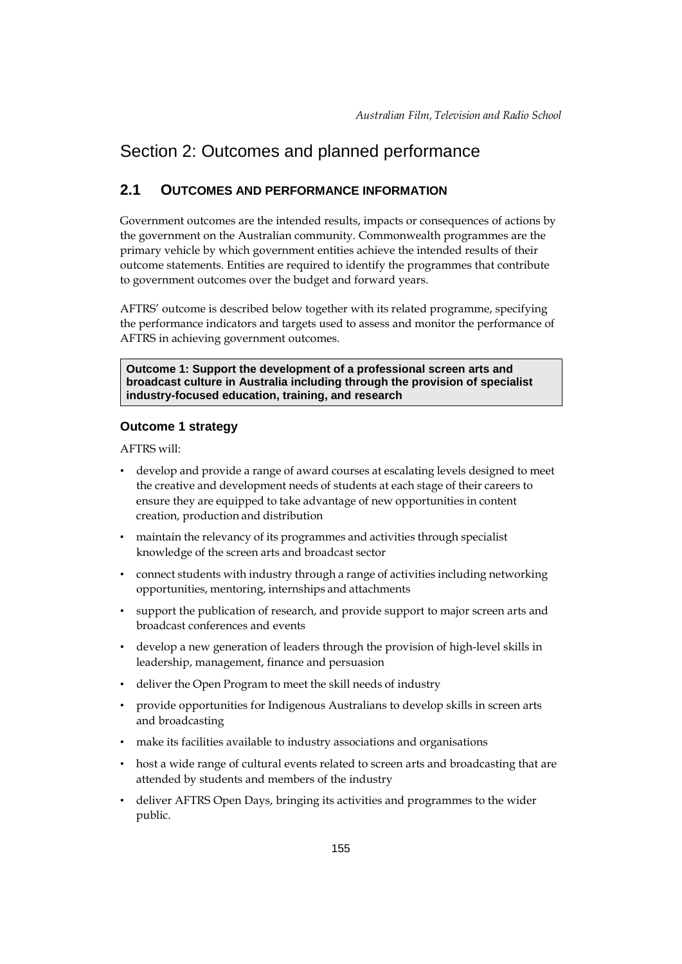# Section 2: Outcomes and planned performance

### **2.1 OUTCOMES AND PERFORMANCE INFORMATION**

Government outcomes are the intended results, impacts or consequences of actions by the government on the Australian community. Commonwealth programmes are the primary vehicle by which government entities achieve the intended results of their outcome statements. Entities are required to identify the programmes that contribute to government outcomes over the budget and forward years.

AFTRS' outcome is described below together with its related programme, specifying the performance indicators and targets used to assess and monitor the performance of AFTRS in achieving government outcomes.

**Outcome 1: Support the development of a professional screen arts and broadcast culture in Australia including through the provision of specialist industry-focused education, training, and research**

#### **Outcome 1 strategy**

AFTRS will:

- develop and provide a range of award courses at escalating levels designed to meet the creative and development needs of students at each stage of their careers to ensure they are equipped to take advantage of new opportunities in content creation, production and distribution
- maintain the relevancy of its programmes and activities through specialist knowledge of the screen arts and broadcast sector
- connect students with industry through a range of activities including networking opportunities, mentoring, internships and attachments
- support the publication of research, and provide support to major screen arts and broadcast conferences and events
- develop a new generation of leaders through the provision of high-level skills in leadership, management, finance and persuasion
- deliver the Open Program to meet the skill needs of industry
- provide opportunities for Indigenous Australians to develop skills in screen arts and broadcasting
- make its facilities available to industry associations and organisations
- host a wide range of cultural events related to screen arts and broadcasting that are attended by students and members of the industry
- deliver AFTRS Open Days, bringing its activities and programmes to the wider public.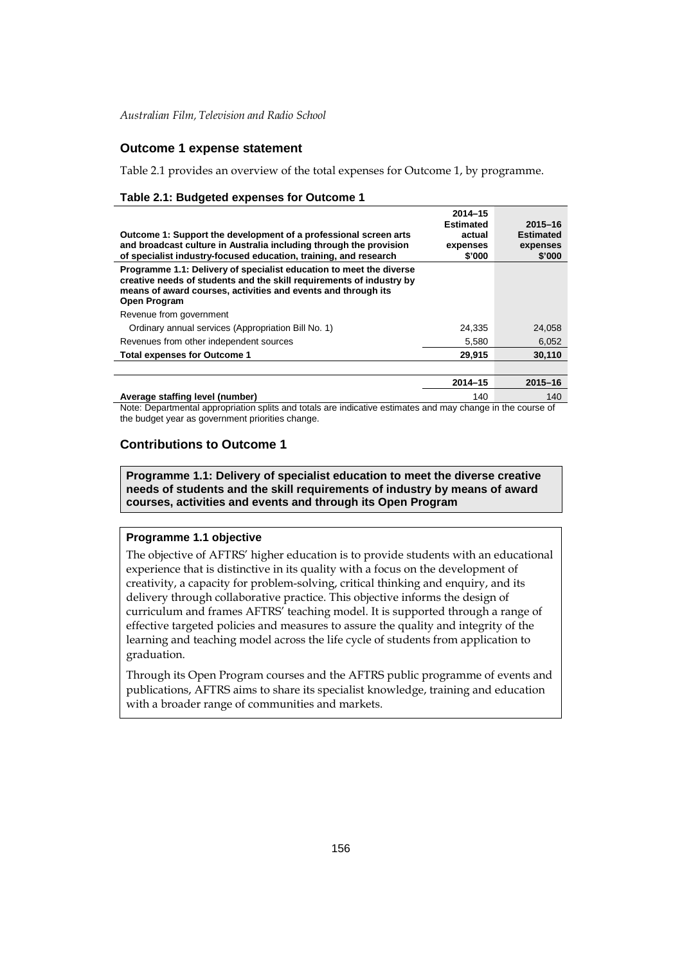### **Outcome 1 expense statement**

Table 2.1 provides an overview of the total expenses for Outcome 1, by programme.

#### **Table 2.1: Budgeted expenses for Outcome 1**

| Outcome 1: Support the development of a professional screen arts<br>and broadcast culture in Australia including through the provision<br>of specialist industry-focused education, training, and research                          | $2014 - 15$<br><b>Estimated</b><br>actual<br>expenses<br>\$'000 | $2015 - 16$<br><b>Estimated</b><br>expenses<br>\$'000 |
|-------------------------------------------------------------------------------------------------------------------------------------------------------------------------------------------------------------------------------------|-----------------------------------------------------------------|-------------------------------------------------------|
| Programme 1.1: Delivery of specialist education to meet the diverse<br>creative needs of students and the skill requirements of industry by<br>means of award courses, activities and events and through its<br><b>Open Program</b> |                                                                 |                                                       |
| Revenue from government                                                                                                                                                                                                             |                                                                 |                                                       |
| Ordinary annual services (Appropriation Bill No. 1)                                                                                                                                                                                 | 24.335                                                          | 24,058                                                |
| Revenues from other independent sources                                                                                                                                                                                             | 5,580                                                           | 6,052                                                 |
| <b>Total expenses for Outcome 1</b>                                                                                                                                                                                                 | 29,915                                                          | 30.110                                                |
|                                                                                                                                                                                                                                     |                                                                 |                                                       |
|                                                                                                                                                                                                                                     | $2014 - 15$                                                     | $2015 - 16$                                           |

**Average staffing level (number)** 140 140 140 140 Note: Departmental appropriation splits and totals are indicative estimates and may change in the course of the budget year as government priorities change.

### **Contributions to Outcome 1**

**Programme 1.1: Delivery of specialist education to meet the diverse creative needs of students and the skill requirements of industry by means of award courses, activities and events and through its Open Program**

#### **Programme 1.1 objective**

The objective of AFTRS' higher education is to provide students with an educational experience that is distinctive in its quality with a focus on the development of creativity, a capacity for problem-solving, critical thinking and enquiry, and its delivery through collaborative practice. This objective informs the design of curriculum and frames AFTRS' teaching model. It is supported through a range of effective targeted policies and measures to assure the quality and integrity of the learning and teaching model across the life cycle of students from application to graduation.

Through its Open Program courses and the AFTRS public programme of events and publications, AFTRS aims to share its specialist knowledge, training and education with a broader range of communities and markets.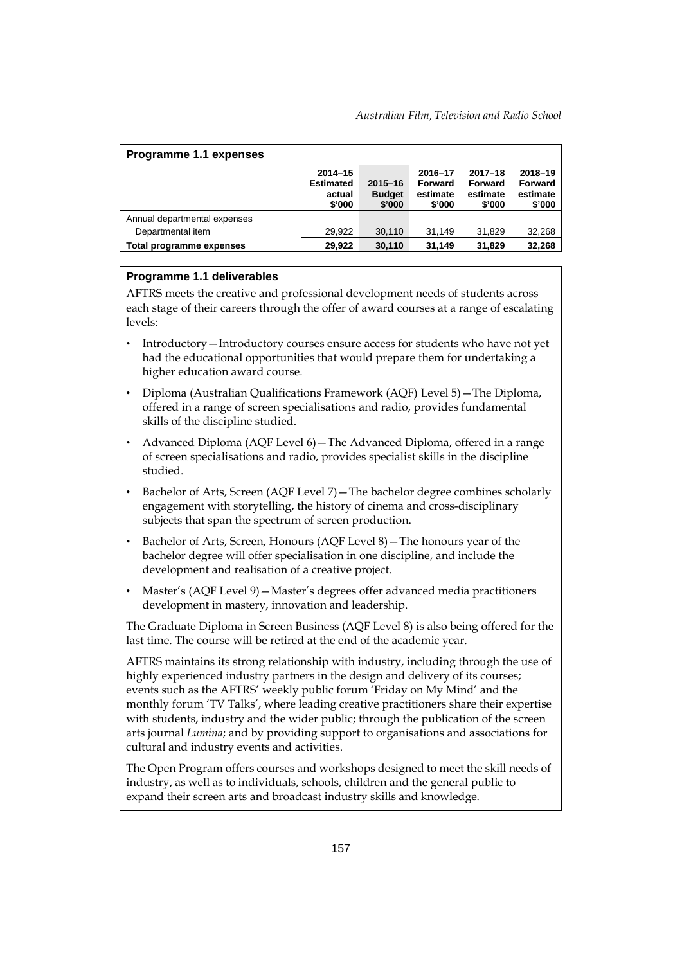| Programme 1.1 expenses       |                                                     |                                        |                                          |                                              |                                          |
|------------------------------|-----------------------------------------------------|----------------------------------------|------------------------------------------|----------------------------------------------|------------------------------------------|
|                              | $2014 - 15$<br><b>Estimated</b><br>actual<br>\$'000 | $2015 - 16$<br><b>Budget</b><br>\$'000 | 2016-17<br>Forward<br>estimate<br>\$'000 | $2017 - 18$<br>Forward<br>estimate<br>\$'000 | 2018-19<br>Forward<br>estimate<br>\$'000 |
| Annual departmental expenses |                                                     |                                        |                                          |                                              |                                          |
| Departmental item            | 29,922                                              | 30,110                                 | 31,149                                   | 31,829                                       | 32,268                                   |
| Total programme expenses     | 29,922                                              | 30,110                                 | 31,149                                   | 31,829                                       | 32,268                                   |

### **Programme 1.1 deliverables**

AFTRS meets the creative and professional development needs of students across each stage of their careers through the offer of award courses at a range of escalating levels:

- Introductory—Introductory courses ensure access for students who have not yet had the educational opportunities that would prepare them for undertaking a higher education award course.
- Diploma (Australian Qualifications Framework (AQF) Level 5)—The Diploma, offered in a range of screen specialisations and radio, provides fundamental skills of the discipline studied.
- Advanced Diploma (AQF Level 6)—The Advanced Diploma, offered in a range of screen specialisations and radio, provides specialist skills in the discipline studied.
- Bachelor of Arts, Screen (AQF Level 7)—The bachelor degree combines scholarly engagement with storytelling, the history of cinema and cross-disciplinary subjects that span the spectrum of screen production.
- Bachelor of Arts, Screen, Honours (AQF Level 8)—The honours year of the bachelor degree will offer specialisation in one discipline, and include the development and realisation of a creative project.
- Master's (AQF Level 9)—Master's degrees offer advanced media practitioners development in mastery, innovation and leadership.

The Graduate Diploma in Screen Business (AQF Level 8) is also being offered for the last time. The course will be retired at the end of the academic year.

AFTRS maintains its strong relationship with industry, including through the use of highly experienced industry partners in the design and delivery of its courses; events such as the AFTRS' weekly public forum 'Friday on My Mind' and the monthly forum 'TV Talks', where leading creative practitioners share their expertise with students, industry and the wider public; through the publication of the screen arts journal *Lumina*; and by providing support to organisations and associations for cultural and industry events and activities.

The Open Program offers courses and workshops designed to meet the skill needs of industry, as well as to individuals, schools, children and the general public to expand their screen arts and broadcast industry skills and knowledge.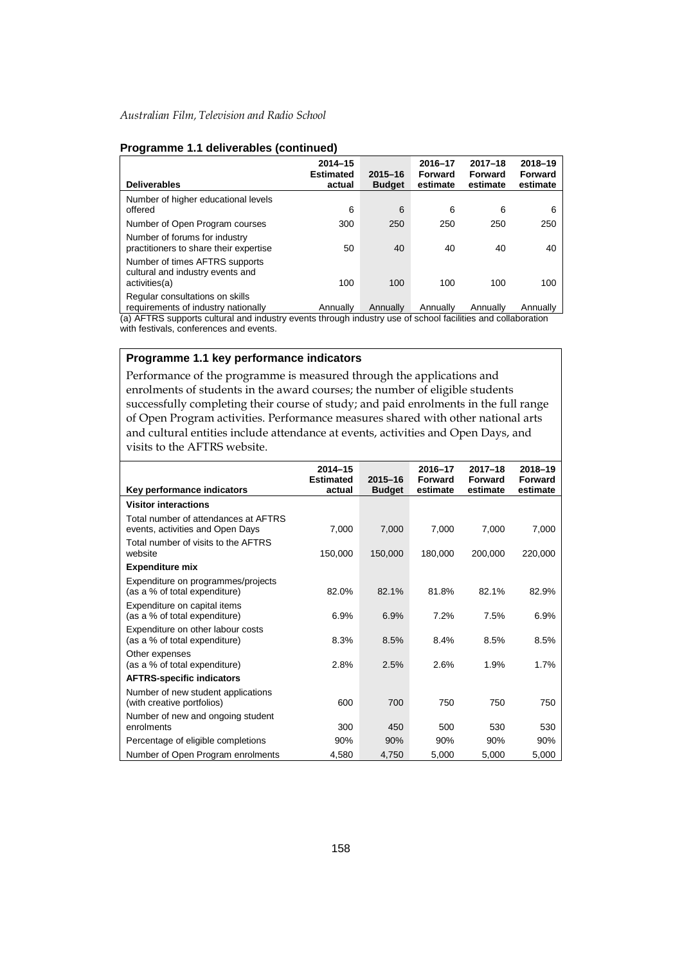| <b>Deliverables</b>                                                                 | $2014 - 15$<br><b>Estimated</b><br>actual | $2015 - 16$<br><b>Budget</b> | 2016-17<br>Forward<br>estimate | $2017 - 18$<br>Forward<br>estimate | 2018-19<br>Forward<br>estimate |
|-------------------------------------------------------------------------------------|-------------------------------------------|------------------------------|--------------------------------|------------------------------------|--------------------------------|
| Number of higher educational levels<br>offered                                      | 6                                         | 6                            | 6                              | 6                                  | 6                              |
| Number of Open Program courses                                                      | 300                                       | 250                          | 250                            | 250                                | 250                            |
| Number of forums for industry<br>practitioners to share their expertise             | 50                                        | 40                           | 40                             | 40                                 | 40                             |
| Number of times AFTRS supports<br>cultural and industry events and<br>activities(a) | 100                                       | 100                          | 100                            | 100                                | 100                            |
| Regular consultations on skills<br>requirements of industry nationally              | Annually                                  | Annually                     | Annually                       | Annually                           | Annually                       |

### **Programme 1.1 deliverables (continued)**

(a) AFTRS supports cultural and industry events through industry use of school facilities and collaboration with festivals, conferences and events.

### **Programme 1.1 key performance indicators**

Performance of the programme is measured through the applications and enrolments of students in the award courses; the number of eligible students successfully completing their course of study; and paid enrolments in the full range of Open Program activities. Performance measures shared with other national arts and cultural entities include attendance at events, activities and Open Days, and visits to the AFTRS website.

|                                                                          | $2014 - 15$<br><b>Estimated</b> | 2015-16       | 2016-17<br>Forward | $2017 - 18$<br>Forward | 2018-19<br>Forward |
|--------------------------------------------------------------------------|---------------------------------|---------------|--------------------|------------------------|--------------------|
| Key performance indicators                                               | actual                          | <b>Budget</b> | estimate           | estimate               | estimate           |
| <b>Visitor interactions</b>                                              |                                 |               |                    |                        |                    |
| Total number of attendances at AFTRS<br>events, activities and Open Days | 7,000                           | 7,000         | 7,000              | 7,000                  | 7,000              |
| Total number of visits to the AFTRS<br>website                           | 150,000                         | 150,000       | 180,000            | 200,000                | 220,000            |
| <b>Expenditure mix</b>                                                   |                                 |               |                    |                        |                    |
| Expenditure on programmes/projects<br>(as a % of total expenditure)      | 82.0%                           | 82.1%         | 81.8%              | 82.1%                  | 82.9%              |
| Expenditure on capital items<br>(as a % of total expenditure)            | 6.9%                            | 6.9%          | 7.2%               | 7.5%                   | 6.9%               |
| Expenditure on other labour costs<br>(as a % of total expenditure)       | 8.3%                            | 8.5%          | 8.4%               | 8.5%                   | 8.5%               |
| Other expenses<br>(as a % of total expenditure)                          | 2.8%                            | 2.5%          | 2.6%               | 1.9%                   | 1.7%               |
| <b>AFTRS-specific indicators</b>                                         |                                 |               |                    |                        |                    |
| Number of new student applications<br>(with creative portfolios)         | 600                             | 700           | 750                | 750                    | 750                |
| Number of new and ongoing student<br>enrolments                          | 300                             | 450           | 500                | 530                    | 530                |
| Percentage of eligible completions                                       | 90%                             | 90%           | 90%                | 90%                    | 90%                |
| Number of Open Program enrolments                                        | 4,580                           | 4,750         | 5,000              | 5,000                  | 5,000              |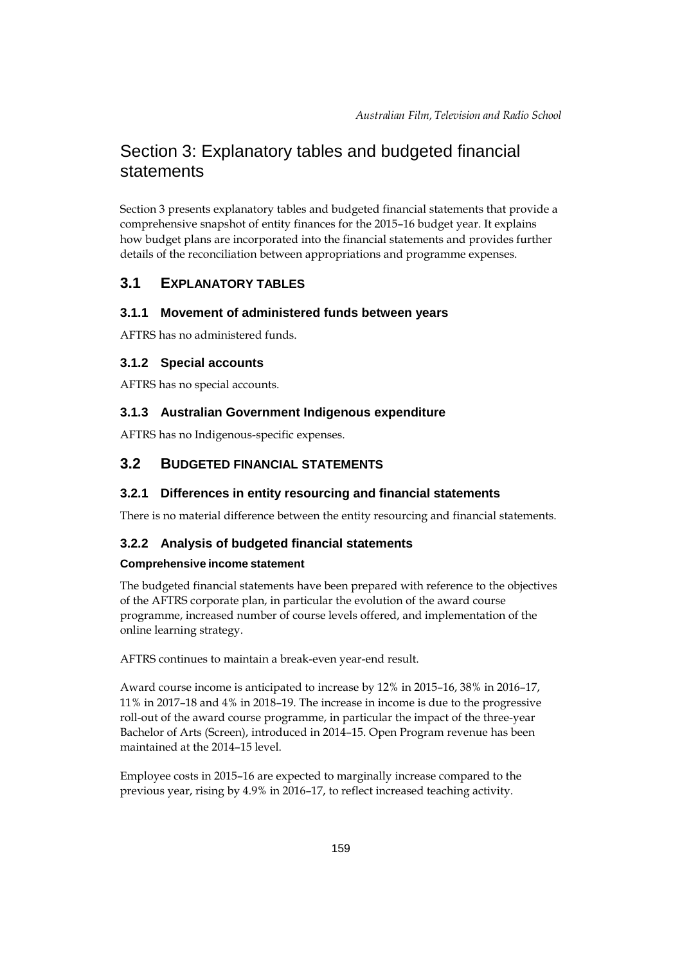# Section 3: Explanatory tables and budgeted financial statements

Section 3 presents explanatory tables and budgeted financial statements that provide a comprehensive snapshot of entity finances for the 2015–16 budget year. It explains how budget plans are incorporated into the financial statements and provides further details of the reconciliation between appropriations and programme expenses.

### **3.1 EXPLANATORY TABLES**

### **3.1.1 Movement of administered funds between years**

AFTRS has no administered funds.

### **3.1.2 Special accounts**

AFTRS has no special accounts.

### **3.1.3 Australian Government Indigenous expenditure**

AFTRS has no Indigenous-specific expenses.

### **3.2 BUDGETED FINANCIAL STATEMENTS**

### **3.2.1 Differences in entity resourcing and financial statements**

There is no material difference between the entity resourcing and financial statements.

### **3.2.2 Analysis of budgeted financial statements**

#### **Comprehensive income statement**

The budgeted financial statements have been prepared with reference to the objectives of the AFTRS corporate plan, in particular the evolution of the award course programme, increased number of course levels offered, and implementation of the online learning strategy.

AFTRS continues to maintain a break-even year-end result.

Award course income is anticipated to increase by 12% in 2015–16, 38% in 2016–17, 11% in 2017–18 and 4% in 2018–19. The increase in income is due to the progressive roll-out of the award course programme, in particular the impact of the three-year Bachelor of Arts (Screen), introduced in 2014–15. Open Program revenue has been maintained at the 2014–15 level.

Employee costs in 2015–16 are expected to marginally increase compared to the previous year, rising by 4.9% in 2016–17, to reflect increased teaching activity.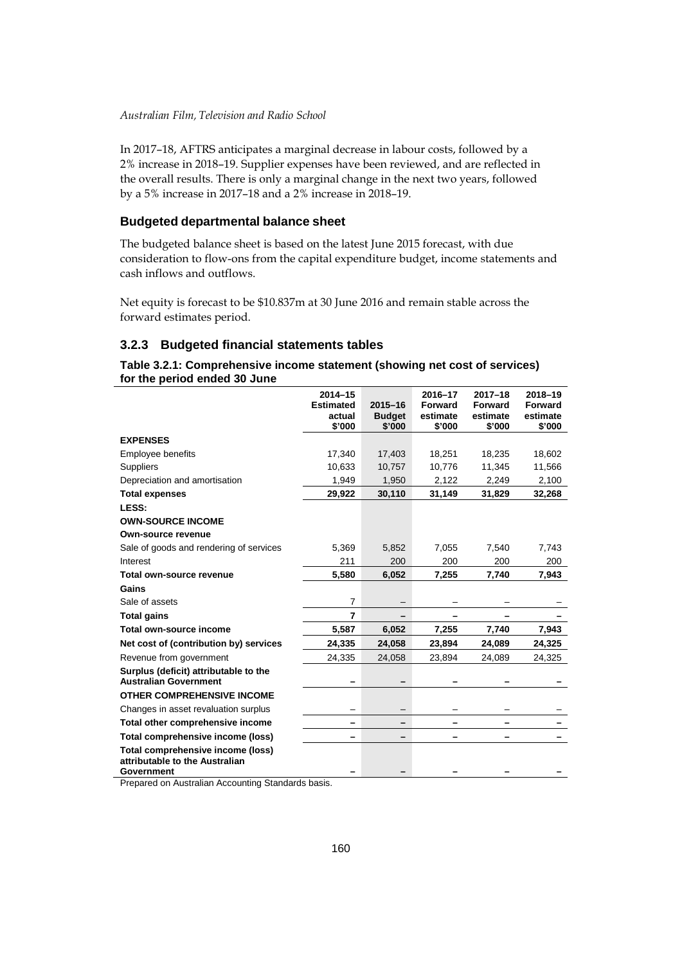In 2017–18, AFTRS anticipates a marginal decrease in labour costs, followed by a 2% increase in 2018–19. Supplier expenses have been reviewed, and are reflected in the overall results. There is only a marginal change in the next two years, followed by a 5% increase in 2017–18 and a 2% increase in 2018–19.

### **Budgeted departmental balance sheet**

The budgeted balance sheet is based on the latest June 2015 forecast, with due consideration to flow-ons from the capital expenditure budget, income statements and cash inflows and outflows.

Net equity is forecast to be \$10.837m at 30 June 2016 and remain stable across the forward estimates period.

### **3.2.3 Budgeted financial statements tables**

### **Table 3.2.1: Comprehensive income statement (showing net cost of services) for the period ended 30 June**

|                                                                       | $2014 - 15$      |                         | 2016-17            | $2017 - 18$        | 2018-19            |
|-----------------------------------------------------------------------|------------------|-------------------------|--------------------|--------------------|--------------------|
|                                                                       | <b>Estimated</b> | $2015 - 16$             | <b>Forward</b>     | Forward            | Forward            |
|                                                                       | actual<br>\$'000 | <b>Budget</b><br>\$'000 | estimate<br>\$'000 | estimate<br>\$'000 | estimate<br>\$'000 |
| <b>EXPENSES</b>                                                       |                  |                         |                    |                    |                    |
| Employee benefits                                                     | 17,340           | 17,403                  | 18,251             | 18,235             | 18,602             |
| <b>Suppliers</b>                                                      | 10,633           | 10,757                  | 10,776             | 11,345             | 11,566             |
| Depreciation and amortisation                                         | 1,949            | 1,950                   | 2,122              | 2,249              | 2,100              |
| <b>Total expenses</b>                                                 | 29,922           | 30,110                  | 31,149             | 31,829             | 32,268             |
| LESS:                                                                 |                  |                         |                    |                    |                    |
| <b>OWN-SOURCE INCOME</b>                                              |                  |                         |                    |                    |                    |
| <b>Own-source revenue</b>                                             |                  |                         |                    |                    |                    |
| Sale of goods and rendering of services                               | 5,369            | 5,852                   | 7,055              | 7,540              | 7,743              |
| Interest                                                              | 211              | 200                     | 200                | 200                | 200                |
| Total own-source revenue                                              | 5,580            | 6,052                   | 7,255              | 7,740              | 7,943              |
| Gains                                                                 |                  |                         |                    |                    |                    |
| Sale of assets                                                        | 7                |                         |                    |                    |                    |
| <b>Total gains</b>                                                    | $\overline{7}$   |                         |                    |                    |                    |
| Total own-source income                                               | 5,587            | 6,052                   | 7,255              | 7,740              | 7,943              |
| Net cost of (contribution by) services                                | 24,335           | 24,058                  | 23,894             | 24,089             | 24,325             |
| Revenue from government                                               | 24,335           | 24,058                  | 23,894             | 24,089             | 24,325             |
| Surplus (deficit) attributable to the<br><b>Australian Government</b> |                  |                         |                    |                    |                    |
| <b>OTHER COMPREHENSIVE INCOME</b>                                     |                  |                         |                    |                    |                    |
| Changes in asset revaluation surplus                                  |                  |                         |                    |                    |                    |
| Total other comprehensive income                                      |                  |                         |                    |                    |                    |
| Total comprehensive income (loss)                                     |                  |                         |                    |                    |                    |
| Total comprehensive income (loss)<br>attributable to the Australian   |                  |                         |                    |                    |                    |
| Government<br>Decessed as Australian Association Cts                  |                  |                         |                    |                    |                    |

Prepared on Australian Accounting Standards basis.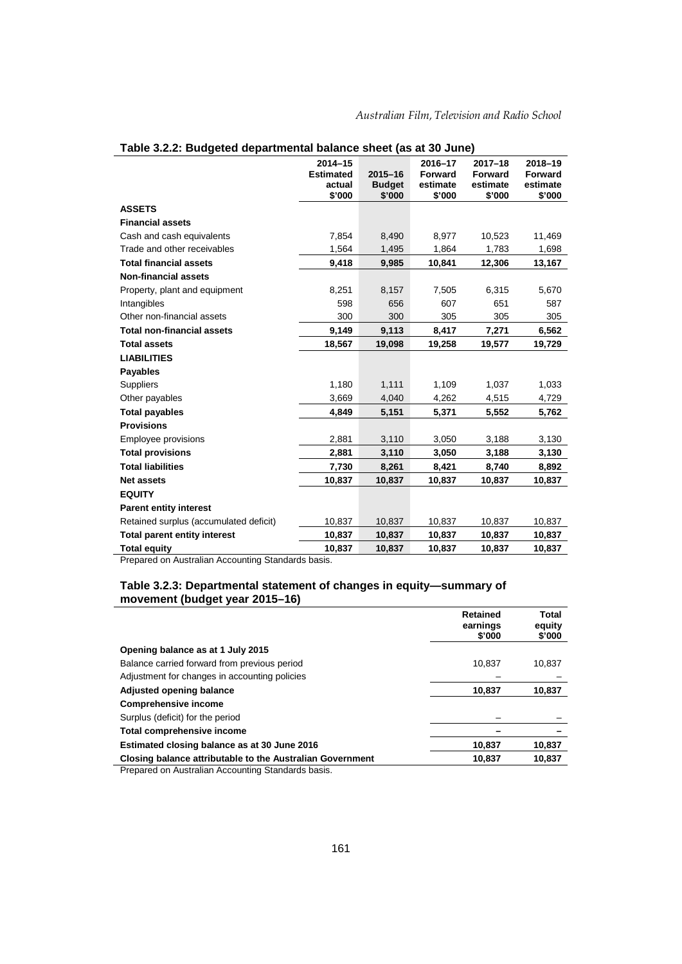|                                              | $2014 - 15$<br><b>Estimated</b><br>actual | $2015 - 16$<br><b>Budget</b> | 2016-17<br><b>Forward</b><br>estimate | $2017 - 18$<br><b>Forward</b><br>estimate | 2018-19<br><b>Forward</b><br>estimate |
|----------------------------------------------|-------------------------------------------|------------------------------|---------------------------------------|-------------------------------------------|---------------------------------------|
|                                              | \$'000                                    | \$'000                       | \$'000                                | \$'000                                    | \$'000                                |
| <b>ASSETS</b>                                |                                           |                              |                                       |                                           |                                       |
| <b>Financial assets</b>                      |                                           |                              |                                       |                                           |                                       |
| Cash and cash equivalents                    | 7,854                                     | 8,490                        | 8,977                                 | 10,523                                    | 11,469                                |
| Trade and other receivables                  | 1,564                                     | 1,495                        | 1,864                                 | 1,783                                     | 1,698                                 |
| <b>Total financial assets</b>                | 9,418                                     | 9,985                        | 10,841                                | 12,306                                    | 13,167                                |
| <b>Non-financial assets</b>                  |                                           |                              |                                       |                                           |                                       |
| Property, plant and equipment                | 8,251                                     | 8,157                        | 7,505                                 | 6,315                                     | 5,670                                 |
| Intangibles                                  | 598                                       | 656                          | 607                                   | 651                                       | 587                                   |
| Other non-financial assets                   | 300                                       | 300                          | 305                                   | 305                                       | 305                                   |
| <b>Total non-financial assets</b>            | 9,149                                     | 9,113                        | 8,417                                 | 7,271                                     | 6,562                                 |
| <b>Total assets</b>                          | 18,567                                    | 19,098                       | 19,258                                | 19,577                                    | 19,729                                |
| <b>LIABILITIES</b>                           |                                           |                              |                                       |                                           |                                       |
| <b>Payables</b>                              |                                           |                              |                                       |                                           |                                       |
| Suppliers                                    | 1,180                                     | 1,111                        | 1,109                                 | 1,037                                     | 1,033                                 |
| Other payables                               | 3,669                                     | 4,040                        | 4,262                                 | 4,515                                     | 4,729                                 |
| <b>Total payables</b>                        | 4.849                                     | 5,151                        | 5,371                                 | 5,552                                     | 5,762                                 |
| <b>Provisions</b>                            |                                           |                              |                                       |                                           |                                       |
| Employee provisions                          | 2,881                                     | 3,110                        | 3,050                                 | 3,188                                     | 3,130                                 |
| <b>Total provisions</b>                      | 2,881                                     | 3,110                        | 3,050                                 | 3,188                                     | 3,130                                 |
| <b>Total liabilities</b>                     | 7,730                                     | 8,261                        | 8,421                                 | 8,740                                     | 8,892                                 |
| <b>Net assets</b>                            | 10,837                                    | 10,837                       | 10,837                                | 10,837                                    | 10,837                                |
| <b>EQUITY</b>                                |                                           |                              |                                       |                                           |                                       |
| <b>Parent entity interest</b>                |                                           |                              |                                       |                                           |                                       |
| Retained surplus (accumulated deficit)       | 10,837                                    | 10,837                       | 10,837                                | 10,837                                    | 10,837                                |
| <b>Total parent entity interest</b>          | 10,837                                    | 10,837                       | 10,837                                | 10,837                                    | 10,837                                |
| <b>Total equity</b><br>$\sim$<br>$A \cdot A$ | 10,837                                    | 10,837                       | 10,837                                | 10,837                                    | 10,837                                |

| Table 3.2.2: Budgeted departmental balance sheet (as at 30 June) |  |  |
|------------------------------------------------------------------|--|--|
|                                                                  |  |  |

Prepared on Australian Accounting Standards basis.

#### **Table 3.2.3: Departmental statement of changes in equity—summary of movement (budget year 2015–16)**

|                                                           | Retained<br>earnings<br>\$'000 | Total<br>equity<br>\$'000 |
|-----------------------------------------------------------|--------------------------------|---------------------------|
| Opening balance as at 1 July 2015                         |                                |                           |
| Balance carried forward from previous period              | 10,837                         | 10,837                    |
| Adjustment for changes in accounting policies             |                                |                           |
| Adjusted opening balance                                  | 10,837                         | 10,837                    |
| <b>Comprehensive income</b>                               |                                |                           |
| Surplus (deficit) for the period                          |                                |                           |
| Total comprehensive income                                |                                |                           |
| Estimated closing balance as at 30 June 2016              | 10.837                         | 10,837                    |
| Closing balance attributable to the Australian Government | 10.837                         | 10,837                    |

Prepared on Australian Accounting Standards basis.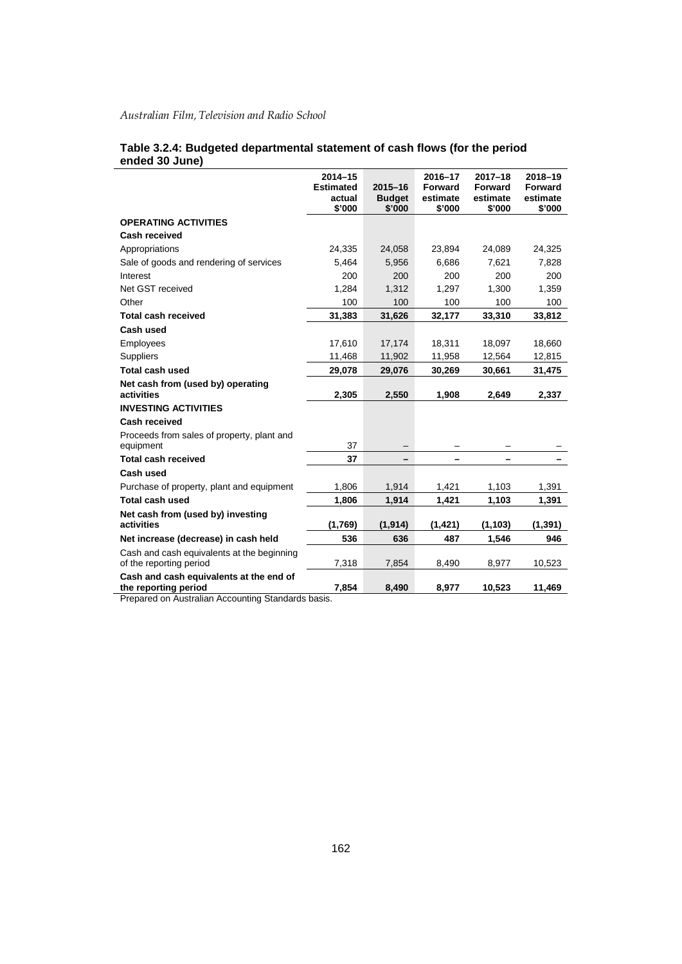|                                                                       | $2014 - 15$<br><b>Estimated</b><br>actual<br>\$'000 | $2015 - 16$<br><b>Budget</b><br>\$'000 | 2016-17<br>Forward<br>estimate<br>\$'000 | $2017 - 18$<br>Forward<br>estimate<br>\$'000 | 2018-19<br><b>Forward</b><br>estimate<br>\$'000 |
|-----------------------------------------------------------------------|-----------------------------------------------------|----------------------------------------|------------------------------------------|----------------------------------------------|-------------------------------------------------|
| <b>OPERATING ACTIVITIES</b>                                           |                                                     |                                        |                                          |                                              |                                                 |
| Cash received                                                         |                                                     |                                        |                                          |                                              |                                                 |
| Appropriations                                                        | 24,335                                              | 24,058                                 | 23,894                                   | 24,089                                       | 24,325                                          |
| Sale of goods and rendering of services                               | 5,464                                               | 5,956                                  | 6,686                                    | 7,621                                        | 7,828                                           |
| Interest                                                              | 200                                                 | 200                                    | 200                                      | 200                                          | 200                                             |
| Net GST received                                                      | 1,284                                               | 1,312                                  | 1,297                                    | 1,300                                        | 1,359                                           |
| Other                                                                 | 100                                                 | 100                                    | 100                                      | 100                                          | 100                                             |
| <b>Total cash received</b>                                            | 31,383                                              | 31,626                                 | 32,177                                   | 33,310                                       | 33,812                                          |
| Cash used                                                             |                                                     |                                        |                                          |                                              |                                                 |
| Employees                                                             | 17,610                                              | 17,174                                 | 18,311                                   | 18,097                                       | 18,660                                          |
| Suppliers                                                             | 11,468                                              | 11,902                                 | 11,958                                   | 12,564                                       | 12,815                                          |
| <b>Total cash used</b>                                                | 29,078                                              | 29,076                                 | 30,269                                   | 30,661                                       | 31,475                                          |
| Net cash from (used by) operating<br>activities                       | 2,305                                               | 2,550                                  | 1,908                                    | 2,649                                        | 2,337                                           |
| <b>INVESTING ACTIVITIES</b>                                           |                                                     |                                        |                                          |                                              |                                                 |
| <b>Cash received</b>                                                  |                                                     |                                        |                                          |                                              |                                                 |
| Proceeds from sales of property, plant and<br>equipment               | 37                                                  |                                        |                                          |                                              |                                                 |
| <b>Total cash received</b>                                            | 37                                                  |                                        |                                          |                                              |                                                 |
| Cash used                                                             |                                                     |                                        |                                          |                                              |                                                 |
| Purchase of property, plant and equipment                             | 1,806                                               | 1,914                                  | 1,421                                    | 1,103                                        | 1,391                                           |
| <b>Total cash used</b>                                                | 1,806                                               | 1,914                                  | 1,421                                    | 1,103                                        | 1,391                                           |
| Net cash from (used by) investing<br>activities                       | (1,769)                                             | (1, 914)                               | (1, 421)                                 | (1, 103)                                     | (1, 391)                                        |
| Net increase (decrease) in cash held                                  | 536                                                 | 636                                    | 487                                      | 1,546                                        | 946                                             |
| Cash and cash equivalents at the beginning<br>of the reporting period | 7,318                                               | 7,854                                  | 8,490                                    | 8,977                                        | 10,523                                          |
| Cash and cash equivalents at the end of<br>the reporting period       | 7,854                                               | 8,490                                  | 8,977                                    | 10,523                                       | 11,469                                          |

#### **Table 3.2.4: Budgeted departmental statement of cash flows (for the period ended 30 June)**

Prepared on Australian Accounting Standards basis.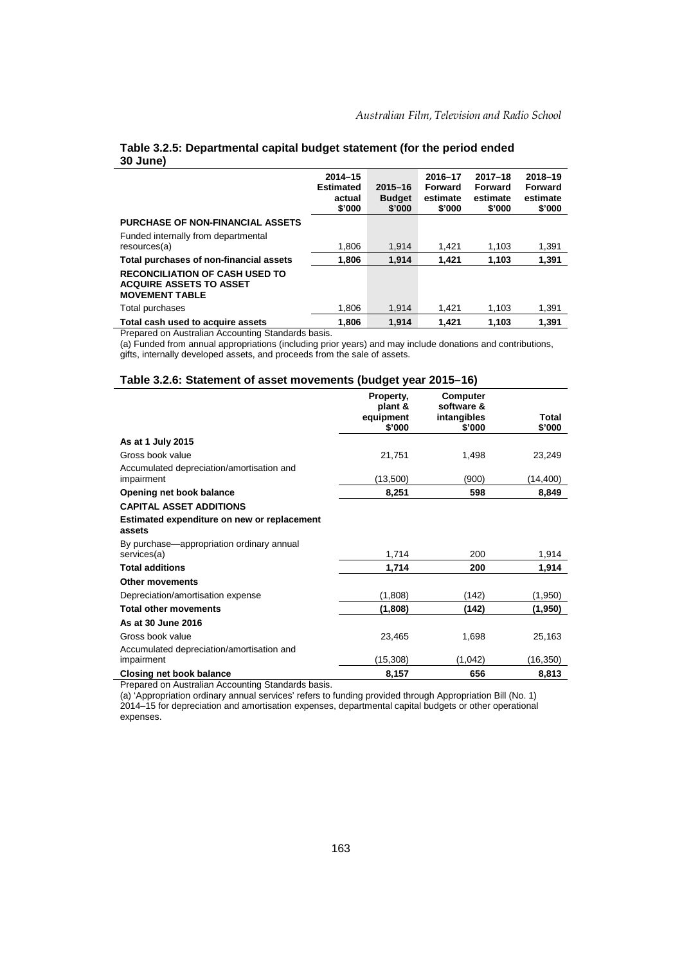|                                                                                                  | $2014 - 15$<br><b>Estimated</b><br>actual<br>\$'000 | $2015 - 16$<br><b>Budget</b><br>\$'000 | 2016-17<br><b>Forward</b><br>estimate<br>\$'000 | $2017 - 18$<br>Forward<br>estimate<br>\$'000 | 2018-19<br>Forward<br>estimate<br>\$'000 |
|--------------------------------------------------------------------------------------------------|-----------------------------------------------------|----------------------------------------|-------------------------------------------------|----------------------------------------------|------------------------------------------|
| <b>PURCHASE OF NON-FINANCIAL ASSETS</b>                                                          |                                                     |                                        |                                                 |                                              |                                          |
| Funded internally from departmental                                                              |                                                     |                                        |                                                 |                                              |                                          |
| resources(a)                                                                                     | 1,806                                               | 1.914                                  | 1.421                                           | 1,103                                        | 1,391                                    |
| Total purchases of non-financial assets                                                          | 1.806                                               | 1.914                                  | 1.421                                           | 1.103                                        | 1,391                                    |
| <b>RECONCILIATION OF CASH USED TO</b><br><b>ACQUIRE ASSETS TO ASSET</b><br><b>MOVEMENT TABLE</b> |                                                     |                                        |                                                 |                                              |                                          |
| Total purchases                                                                                  | 1.806                                               | 1.914                                  | 1.421                                           | 1.103                                        | 1,391                                    |
| Total cash used to acquire assets                                                                | 1.806                                               | 1.914                                  | 1.421                                           | 1.103                                        | 1.391                                    |

### **Table 3.2.5: Departmental capital budget statement (for the period ended 30 June)**

Prepared on Australian Accounting Standards basis.

(a) Funded from annual appropriations (including prior years) and may include donations and contributions, gifts, internally developed assets, and proceeds from the sale of assets.

### **Table 3.2.6: Statement of asset movements (budget year 2015–16)**

|                                                          | Property,<br>plant &<br>equipment | Computer<br>software &<br>intangibles | Total    |
|----------------------------------------------------------|-----------------------------------|---------------------------------------|----------|
|                                                          | \$'000                            | \$'000                                | \$'000   |
| As at 1 July 2015                                        |                                   |                                       |          |
| Gross book value                                         | 21,751                            | 1,498                                 | 23,249   |
| Accumulated depreciation/amortisation and<br>impairment  | (13,500)                          | (900)                                 | (14,400) |
| Opening net book balance                                 | 8,251                             | 598                                   | 8,849    |
| <b>CAPITAL ASSET ADDITIONS</b>                           |                                   |                                       |          |
| Estimated expenditure on new or replacement<br>assets    |                                   |                                       |          |
| By purchase—appropriation ordinary annual<br>services(a) | 1,714                             | 200                                   | 1,914    |
| <b>Total additions</b>                                   | 1,714                             | 200                                   | 1,914    |
| <b>Other movements</b>                                   |                                   |                                       |          |
| Depreciation/amortisation expense                        | (1,808)                           | (142)                                 | (1,950)  |
| <b>Total other movements</b>                             | (1,808)                           | (142)                                 | (1,950)  |
| As at 30 June 2016                                       |                                   |                                       |          |
| Gross book value                                         | 23,465                            | 1,698                                 | 25,163   |
| Accumulated depreciation/amortisation and<br>impairment  | (15, 308)                         | (1,042)                               | (16,350) |
| Closing net book balance                                 | 8,157                             | 656                                   | 8,813    |

Prepared on Australian Accounting Standards basis.

(a) 'Appropriation ordinary annual services' refers to funding provided through Appropriation Bill (No. 1) 2014–15 for depreciation and amortisation expenses, departmental capital budgets or other operational expenses.